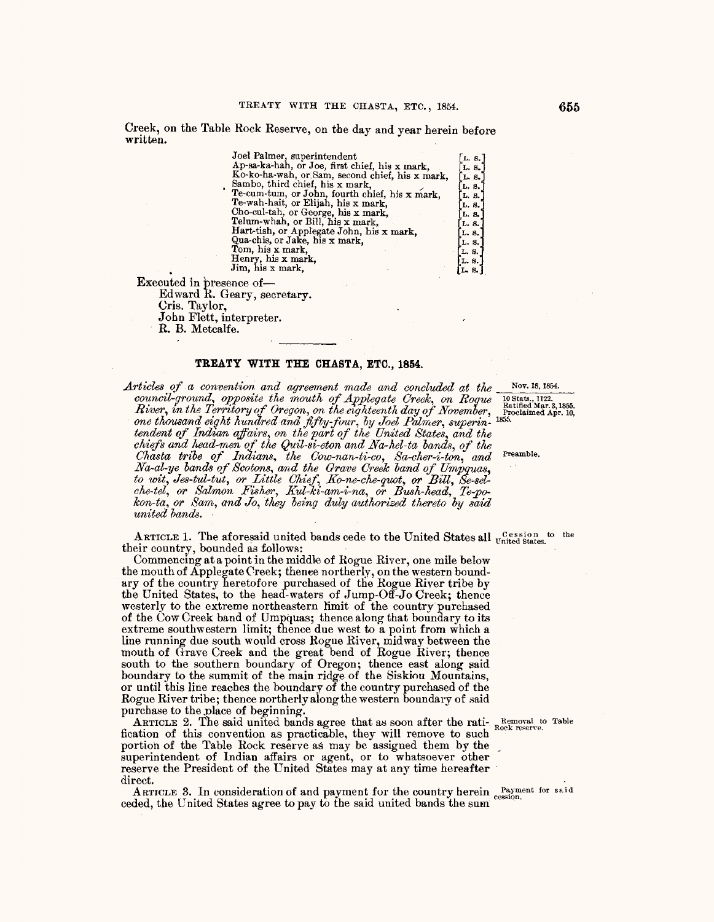Creek, on the Table Rock Reserve, on the day and year herein before **written.** .

| Joel Palmer, superintendent                     | L.8.    |
|-------------------------------------------------|---------|
| Ap-sa-ka-hah, or Joe, first chief, his x mark,  | L. S.   |
| Ko-ko-ha-wah, or Sam, second chief, his x mark, | L. 8.   |
| Sambo, third chief, his x mark,                 | L. 8.   |
| Te-cum-tum, or John, fourth chief, his x mark,  | L. S.   |
| Te-wah-hait, or Elijah, his x mark,             | L. 8.   |
| Cho-cul-tah, or George, his x mark,             | L. 8.   |
| Telum-whah, or Bill, his x mark,                | L. 8.   |
| Hart-tish, or Applegate John, his x mark,       | L. 8.   |
| Qua-chis, or Jake, his x mark,                  | L. S.   |
| Tom, his x mark,                                | L. S.   |
| Henry, his x mark,                              | [L. 8.] |
| Jim, his x mark,                                | L.8.    |
| ted in presence of-<br>$1 - 1$ is $\alpha$      |         |
|                                                 |         |

Executed in  $\mathfrak{p}$ Edward R. Geary, secretary. Cris. Taylor, John Flett, interpreter.

R. B. Metcalfe.

## TREATY WITH THE CHASTA, ETC., 1854.

*Articles of a convention and agreement made and concluded at the* Nov. 18, 1854.<br> *council-ground, opposite the mouth of Applegate Creek, on Roque* 10 Stats, 1122.<br> *River, in the Territory of Oregon, on the eighteenth da council-ground, opposite the mouth of Applegate Creek, on Rogue* <sup>10 Stats., 1122.</sup> *River, in the Territory of Oregon, on the eighteenth day of November,* Proclaimed Apr. 10, *one tlwusand ei(!ht hundred and fifty-four, by Joel Palmer, superin-* 1855• tendent of Indian affairs, on the part of the United States, and the *chiefs and head-men of the Quil-si-eton and Na-hel-ta banas, of the Chasta tribe of lndian8, the Cow-nan-ti-co, Sa-cher-i-ton, and* Preamble. *Na-al-ye bands of Scotons, and the Grave Creek band of Umpguas,*  to wit, Jes-tul-tut, or Little Chief, Ko-ne-che-quot, or Bill, Se-sel*che-tel, or Salmon Fisher, Kul-ki-am-i-na, or Bush-head, Te-pokon-ta, or Sam, and Jo, they being duly authorized thereto by said united bands.* 

ARTICLE 1. The aforesaid united bands cede to the United States all  $U^{Cession~to}_{\text{on-}~tot}$  to the their country, bounded as follows:

Commencing at a point in the middle of Rogue River, one mile below the mouth of Applegate Creek; thence northerly, on the western boundary of the country heretofore purchased of the Rogue River tribe by the United States, to the head-waters of Jump-Off-Jo Creek; thence westerly to the extreme northeastern limit of the country purchased of the Cow Creek band of Ompquas; thence along that boundary to its extreme southwestern limit; thence due west to a point from which a line running due south would cross Rogue River, midway between the mouth of Grave Creek and the great bend of Rogue River; thence south to the southern boundary of Oregon; thence east along said boundary to the summit of the main ridge of the Siskiou Mountains, or until this line reaches the boundary of the country purchased of the Rogue River tribe; thence northerly along the western boundary of said purchase to the place of beginning.

ARTICLE 2. The said united bands agree that as soon after the rati- Removal to Table fication of this convention as practicable, they will remove to such portion of the Table Rock reserve as may be assigned them by the superintendent of Indian affairs or agent, or to whatsoever other reserve the President *of* the United States may at any time hereafter direct.

ARTICLE 3. In consideration of and payment for the country herein Payment for said ceded, the United States agree to pay to the said united bands the sum.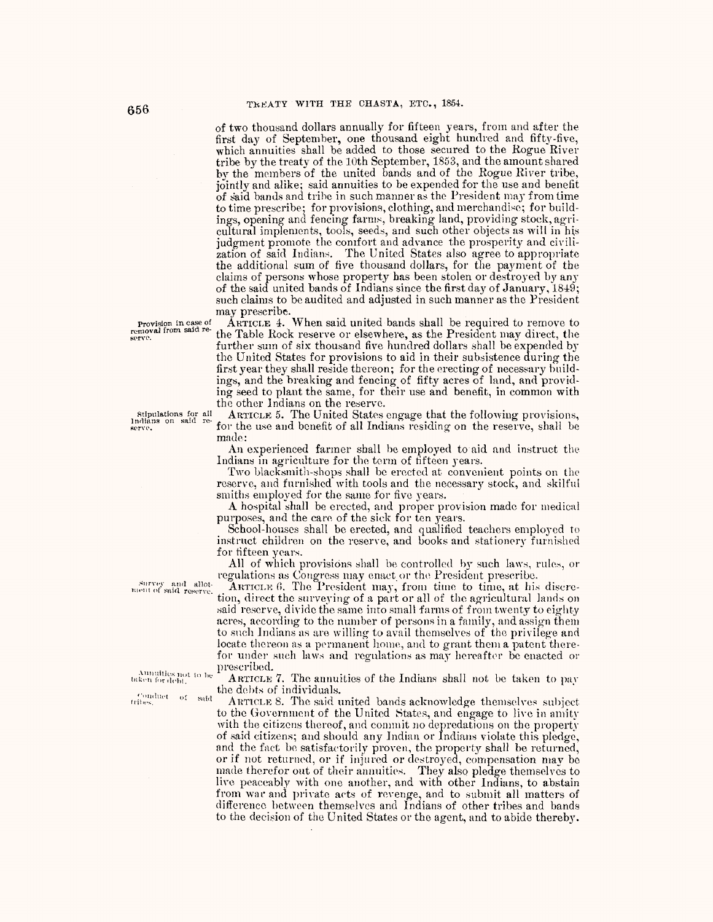of two thousand dollars annually for fifteen years, from and after the first day of September, one thousand eight hundred and fifty-five, which annuities shall be added to those secured to the Rogue River tribe by the treaty of the 10th September, 1853, and the amount shared by the members of the united bands and of the Rogue River tribe, jointly and alike; said annuities to be expended for the use and benefit of said bands and tribe in such manner as the President may from time to time prescribe; for provisions, clothing, and merchandise; for buildings, opening and fencing farms, breaking land, providing stock, agricultural implements, tools, seeds, and such other objects as will in his judgment promote the comfort and advance the prosperity and civilization of said Indians. The United States also agree to appropriate the additional sum of five thousand dollars, for the payment of the claims of persons whose property has been stolen or destroyed by any of the said united bands of Indians since the first day of January, 1849; such claims to be audited and adjusted in such manner as the President may prescribe.

provision in case of ARTICLE 4. When said united bands shall be required to remove to removal from said re-the Table Rock reserve or electrical as the Prosident may direct the the Table Rock reserve or elsewhere, as the President may direct, the further sum of six thousand five hundred dollars shall be expended by the United States for provisions to aid in their subsistence during the first year they shall reside thereon; for the erecting of necessary buildings, and the breaking and fencing of fifty acres of land, and providing seed to plant the same, for their use and benefit, in common with the other Indians on the reserve.<br>ARTICLE 5. The United States engage that the following provisions,

full the States engage that the following provisions, Jndians on said re-<br>
recently on the use and benefit of all Indians residing on the reserve, shall be<br>
serve, made:

An experienced farmer shall he employed to aid and instruct the Indians in agriculture for the term of fifteen years.

Two blacksmith-shops shall be erected at convenient points on the reserve, and furnished with tools and the necessary stock, and skilful smiths employed for the same for five years.

A hospital shall be erected, and proper provision made for medical purposes, and the care of the sick for ten years.

School-houses shall be erected, and qualified teachers employed to instruct children on the reserve, and books and stationery furnished for fifteen years.

All of which provisions shall be controlled by such laws, rules, or regulations as Congress may enact or the President prescribe.

 $\frac{\text{Surve}}{\text{start of said reserve.}}$  ARTICLE 6. The President may, from time to time, at his discresaid reserve, divide the same into small farms of from twenty to eighty acres, according to the number of persons in a family, and assign them to snch lndians ns are willing to avail themselves of the privilege and locate thereon as a permanent home, and to grant them a patent therefor under such laws and regulations as may hereafter be enacted or prescribed. •

Annullies not to be *ARTICLE 7*. The annuities of the Indians shall not be taken to pay the debts of individuals.

ARTICLE 8. The said united bands acknowledge themselves subject to the Government of the United States, and engage to live in amity with the citizens thereof, and commit no depredations on the property of said citizens; and should any Indian or lndinns violate this pledge, and the fact be satisfactorily proven, the property shall be returned, or if not retumed, or if injured or destroyed, compensation may be made therefor out of their annuities. They also pledge themselves to live peaceably with one another, and with other Indians, to abstain from war and private aets of revenge, and to submit all matters of difference between themselves and Indians of other tribes and bands to the decision of the United States or the agent, and to abide thereby.

serve.

 $\frac{\text{conduct}}{\text{tribes}_i}$  of  $\frac{\text{ said }}{\text{intbes}_i}$